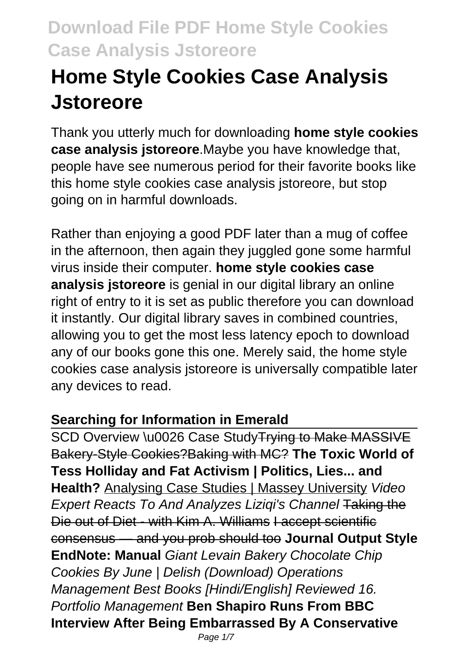# **Home Style Cookies Case Analysis Jstoreore**

Thank you utterly much for downloading **home style cookies case analysis jstoreore**.Maybe you have knowledge that, people have see numerous period for their favorite books like this home style cookies case analysis jstoreore, but stop going on in harmful downloads.

Rather than enjoying a good PDF later than a mug of coffee in the afternoon, then again they juggled gone some harmful virus inside their computer. **home style cookies case analysis jstoreore** is genial in our digital library an online right of entry to it is set as public therefore you can download it instantly. Our digital library saves in combined countries, allowing you to get the most less latency epoch to download any of our books gone this one. Merely said, the home style cookies case analysis jstoreore is universally compatible later any devices to read.

#### **Searching for Information in Emerald**

SCD Overview \u0026 Case Study Trying to Make MASSIVE Bakery-Style Cookies?Baking with MC? **The Toxic World of Tess Holliday and Fat Activism | Politics, Lies... and Health?** Analysing Case Studies | Massey University Video Expert Reacts To And Analyzes Liziqi's Channel Taking the Die out of Diet - with Kim A. Williams I accept scientific consensus — and you prob should too **Journal Output Style EndNote: Manual** Giant Levain Bakery Chocolate Chip Cookies By June | Delish (Download) Operations Management Best Books [Hindi/English] Reviewed 16. Portfolio Management **Ben Shapiro Runs From BBC Interview After Being Embarrassed By A Conservative**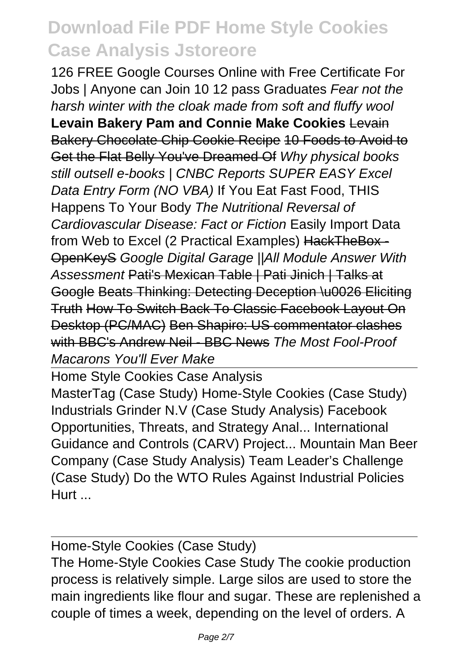126 FREE Google Courses Online with Free Certificate For Jobs | Anyone can Join 10 12 pass Graduates Fear not the harsh winter with the cloak made from soft and fluffy wool **Levain Bakery Pam and Connie Make Cookies** Levain Bakery Chocolate Chip Cookie Recipe 10 Foods to Avoid to Get the Flat Belly You've Dreamed Of Why physical books still outsell e-books | CNBC Reports SUPER EASY Excel Data Entry Form (NO VBA) If You Eat Fast Food, THIS Happens To Your Body The Nutritional Reversal of Cardiovascular Disease: Fact or Fiction Easily Import Data from Web to Excel (2 Practical Examples) HackTheBox - OpenKeyS Google Digital Garage ||All Module Answer With Assessment Pati's Mexican Table | Pati Jinich | Talks at Google Beats Thinking: Detecting Deception \u0026 Eliciting Truth How To Switch Back To Classic Facebook Layout On Desktop (PC/MAC) Ben Shapiro: US commentator clashes with BBC's Andrew Neil - BBC News The Most Fool-Proof Macarons You'll Ever Make

Home Style Cookies Case Analysis MasterTag (Case Study) Home-Style Cookies (Case Study) Industrials Grinder N.V (Case Study Analysis) Facebook Opportunities, Threats, and Strategy Anal... International Guidance and Controls (CARV) Project... Mountain Man Beer Company (Case Study Analysis) Team Leader's Challenge (Case Study) Do the WTO Rules Against Industrial Policies Hurt ...

Home-Style Cookies (Case Study) The Home-Style Cookies Case Study The cookie production process is relatively simple. Large silos are used to store the main ingredients like flour and sugar. These are replenished a couple of times a week, depending on the level of orders. A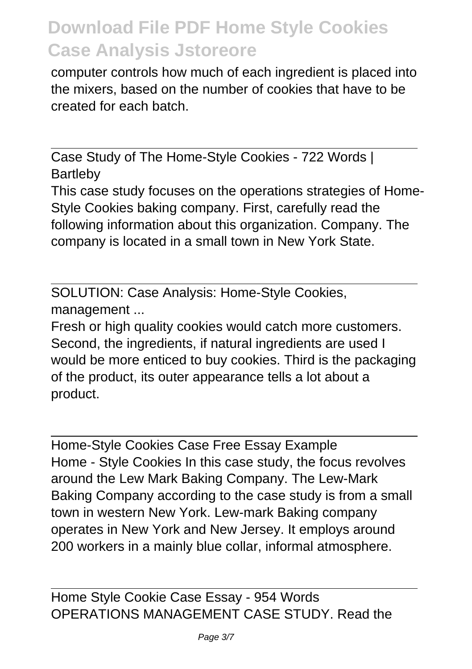computer controls how much of each ingredient is placed into the mixers, based on the number of cookies that have to be created for each batch.

Case Study of The Home-Style Cookies - 722 Words | Bartleby

This case study focuses on the operations strategies of Home-Style Cookies baking company. First, carefully read the following information about this organization. Company. The company is located in a small town in New York State.

SOLUTION: Case Analysis: Home-Style Cookies, management ...

Fresh or high quality cookies would catch more customers. Second, the ingredients, if natural ingredients are used I would be more enticed to buy cookies. Third is the packaging of the product, its outer appearance tells a lot about a product.

Home-Style Cookies Case Free Essay Example Home - Style Cookies In this case study, the focus revolves around the Lew Mark Baking Company. The Lew-Mark Baking Company according to the case study is from a small town in western New York. Lew-mark Baking company operates in New York and New Jersey. It employs around 200 workers in a mainly blue collar, informal atmosphere.

Home Style Cookie Case Essay - 954 Words OPERATIONS MANAGEMENT CASE STUDY. Read the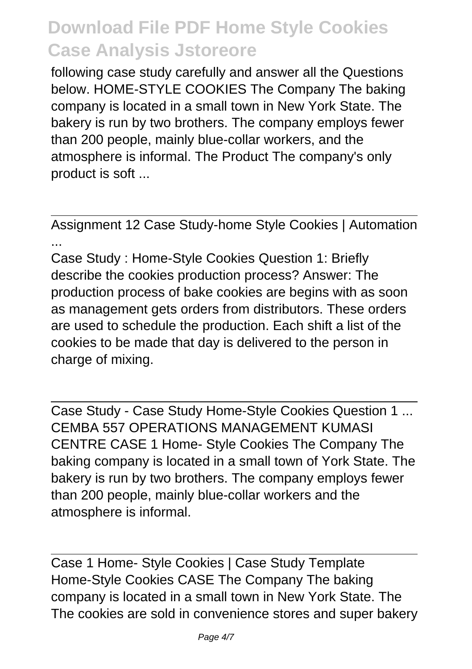following case study carefully and answer all the Questions below. HOME-STYLE COOKIES The Company The baking company is located in a small town in New York State. The bakery is run by two brothers. The company employs fewer than 200 people, mainly blue-collar workers, and the atmosphere is informal. The Product The company's only product is soft ...

Assignment 12 Case Study-home Style Cookies | Automation ...

Case Study : Home-Style Cookies Question 1: Briefly describe the cookies production process? Answer: The production process of bake cookies are begins with as soon as management gets orders from distributors. These orders are used to schedule the production. Each shift a list of the cookies to be made that day is delivered to the person in charge of mixing.

Case Study - Case Study Home-Style Cookies Question 1 ... CEMBA 557 OPERATIONS MANAGEMENT KUMASI CENTRE CASE 1 Home- Style Cookies The Company The baking company is located in a small town of York State. The bakery is run by two brothers. The company employs fewer than 200 people, mainly blue-collar workers and the atmosphere is informal.

Case 1 Home- Style Cookies | Case Study Template Home-Style Cookies CASE The Company The baking company is located in a small town in New York State. The The cookies are sold in convenience stores and super bakery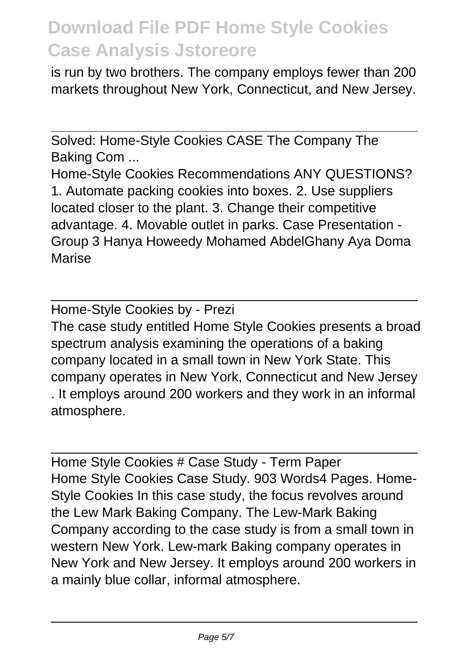is run by two brothers. The company employs fewer than 200 markets throughout New York, Connecticut, and New Jersey.

Solved: Home-Style Cookies CASE The Company The Baking Com ...

Home-Style Cookies Recommendations ANY QUESTIONS? 1. Automate packing cookies into boxes. 2. Use suppliers located closer to the plant. 3. Change their competitive advantage. 4. Movable outlet in parks. Case Presentation - Group 3 Hanya Howeedy Mohamed AbdelGhany Aya Doma Marise

Home-Style Cookies by - Prezi The case study entitled Home Style Cookies presents a broad spectrum analysis examining the operations of a baking company located in a small town in New York State. This company operates in New York, Connecticut and New Jersey . It employs around 200 workers and they work in an informal atmosphere.

Home Style Cookies # Case Study - Term Paper Home Style Cookies Case Study. 903 Words4 Pages. Home-Style Cookies In this case study, the focus revolves around the Lew Mark Baking Company. The Lew-Mark Baking Company according to the case study is from a small town in western New York. Lew-mark Baking company operates in New York and New Jersey. It employs around 200 workers in a mainly blue collar, informal atmosphere.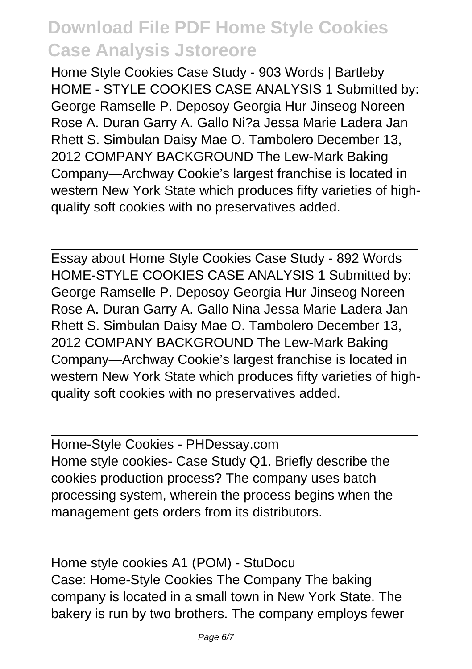Home Style Cookies Case Study - 903 Words | Bartleby HOME - STYLE COOKIES CASE ANALYSIS 1 Submitted by: George Ramselle P. Deposoy Georgia Hur Jinseog Noreen Rose A. Duran Garry A. Gallo Ni?a Jessa Marie Ladera Jan Rhett S. Simbulan Daisy Mae O. Tambolero December 13, 2012 COMPANY BACKGROUND The Lew-Mark Baking Company—Archway Cookie's largest franchise is located in western New York State which produces fifty varieties of highquality soft cookies with no preservatives added.

Essay about Home Style Cookies Case Study - 892 Words HOME-STYLE COOKIES CASE ANALYSIS 1 Submitted by: George Ramselle P. Deposoy Georgia Hur Jinseog Noreen Rose A. Duran Garry A. Gallo Nina Jessa Marie Ladera Jan Rhett S. Simbulan Daisy Mae O. Tambolero December 13, 2012 COMPANY BACKGROUND The Lew-Mark Baking Company—Archway Cookie's largest franchise is located in western New York State which produces fifty varieties of highquality soft cookies with no preservatives added.

Home-Style Cookies - PHDessay.com Home style cookies- Case Study Q1. Briefly describe the cookies production process? The company uses batch processing system, wherein the process begins when the management gets orders from its distributors.

Home style cookies A1 (POM) - StuDocu Case: Home-Style Cookies The Company The baking company is located in a small town in New York State. The bakery is run by two brothers. The company employs fewer